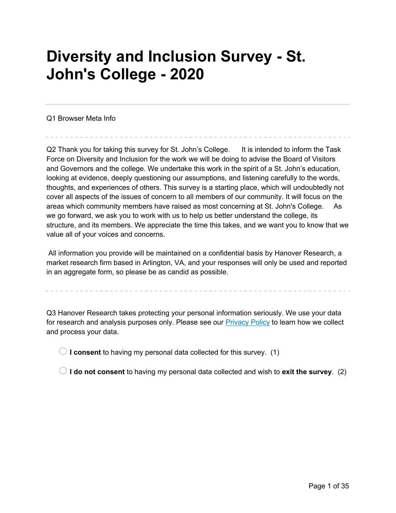# **Diversity and Inclusion Survey - St. John's College - 2020**

Q1 Browser Meta Info

Q2 Thank you for taking this survey for St. John's College. It is intended to inform the Task Force on Diversity and Inclusion for the work we will be doing to advise the Board of Visitors and Governors and the college. We undertake this work in the spirit of a St. John's education, looking at evidence, deeply questioning our assumptions, and listening carefully to the words, thoughts, and experiences of others. This survey is a starting place, which will undoubtedly not cover all aspects of the issues of concern to all members of our community. It will focus on the areas which community members have raised as most concerning at St. John's College. As we go forward, we ask you to work with us to help us better understand the college, its structure, and its members. We appreciate the time this takes, and we want you to know that we value all of your voices and concerns.

All information you provide will be maintained on a confidential basis by Hanover Research, a market research firm based in Arlington, VA, and your responses will only be used and reported in an aggregate form, so please be as candid as possible.

Q3 Hanover Research takes protecting your personal information seriously. We use your data for research and analysis purposes only. Please see our Privacy Policy to learn how we collect and process your data.

 $\bigcirc$  **I consent** to having my personal data collected for this survey. (1)

 $\bigcirc$  **I do not consent** to having my personal data collected and wish to **exit the survey**. (2)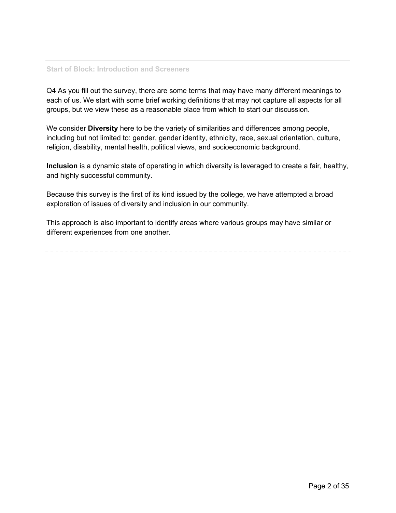#### **Start of Block: Introduction and Screeners**

Q4 As you fill out the survey, there are some terms that may have many different meanings to each of us. We start with some brief working definitions that may not capture all aspects for all groups, but we view these as a reasonable place from which to start our discussion.

We consider **Diversity** here to be the variety of similarities and differences among people, including but not limited to: gender, gender identity, ethnicity, race, sexual orientation, culture, religion, disability, mental health, political views, and socioeconomic background.

**Inclusion** is a dynamic state of operating in which diversity is leveraged to create a fair, healthy, and highly successful community.

Because this survey is the first of its kind issued by the college, we have attempted a broad exploration of issues of diversity and inclusion in our community.

This approach is also important to identify areas where various groups may have similar or different experiences from one another.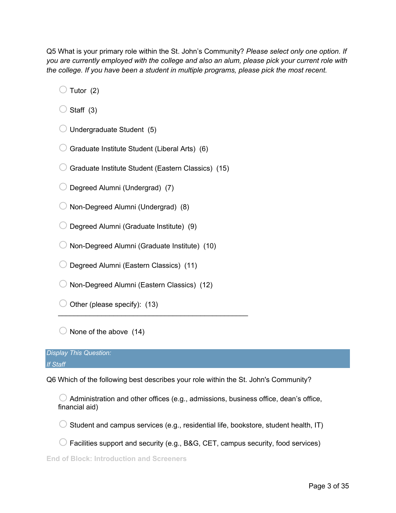Q5 What is your primary role within the St. John's Community? *Please select only one option. If you are currently employed with the college and also an alum, please pick your current role with the college. If you have been a student in multiple programs, please pick the most recent.*

 $\bigcirc$  Tutor (2)

 $\bigcirc$  Staff (3)

 $\bigcirc$  Undergraduate Student (5)

 $\bigcirc$  Graduate Institute Student (Liberal Arts) (6)

 $\bigcirc$  Graduate Institute Student (Eastern Classics) (15)

 $\bigcirc$  Degreed Alumni (Undergrad) (7)

 $\bigcirc$  Non-Degreed Alumni (Undergrad) (8)

 $\bigcirc$  Degreed Alumni (Graduate Institute) (9)

 $\bigcirc$  Non-Degreed Alumni (Graduate Institute) (10)

 $\bigcirc$  Degreed Alumni (Eastern Classics) (11)

 $\bigcirc$  Non-Degreed Alumni (Eastern Classics) (12)

 $\mathcal{L}_\text{max}$  and  $\mathcal{L}_\text{max}$  and  $\mathcal{L}_\text{max}$  and  $\mathcal{L}_\text{max}$  and  $\mathcal{L}_\text{max}$ 

 $\bigcirc$  Other (please specify): (13)

 $\bigcirc$  None of the above (14)

*Display This Question: If Staff*

Q6 Which of the following best describes your role within the St. John's Community?

 $\bigcirc$  Administration and other offices (e.g., admissions, business office, dean's office, financial aid)

 $\bigcirc$  Student and campus services (e.g., residential life, bookstore, student health, IT)

 $\bigcirc$  Facilities support and security (e.g., B&G, CET, campus security, food services)

**End of Block: Introduction and Screeners**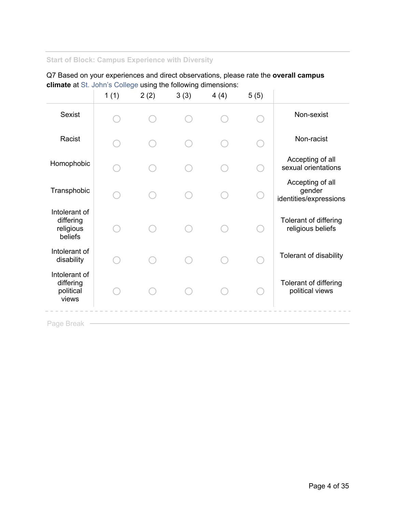# **Start of Block: Campus Experience with Diversity**

Q7 Based on your experiences and direct observations, please rate the **overall campus climate** at St. John's College using the following dimensions:

|                                                    | 1(1) | 2(2) | 3(3) | 4(4) | 5(5) |                                                      |
|----------------------------------------------------|------|------|------|------|------|------------------------------------------------------|
| Sexist                                             |      |      |      |      |      | Non-sexist                                           |
| Racist                                             |      |      |      |      |      | Non-racist                                           |
| Homophobic                                         |      |      |      |      |      | Accepting of all<br>sexual orientations              |
| Transphobic                                        |      |      |      |      |      | Accepting of all<br>gender<br>identities/expressions |
| Intolerant of<br>differing<br>religious<br>beliefs |      |      |      |      |      | Tolerant of differing<br>religious beliefs           |
| Intolerant of<br>disability                        |      |      |      |      |      | Tolerant of disability                               |
| Intolerant of<br>differing<br>political<br>views   |      |      |      |      |      | Tolerant of differing<br>political views             |
|                                                    |      |      |      |      |      |                                                      |

Page Break -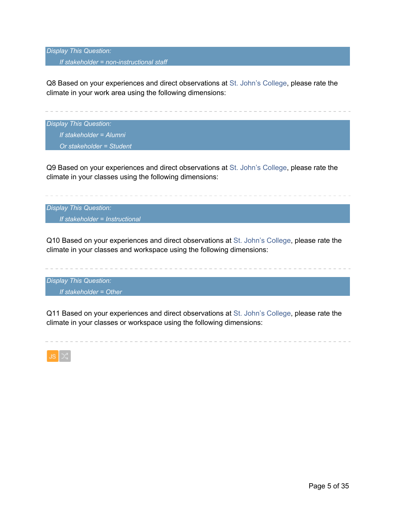*Display This Question: If stakeholder = non-instructional staff*

Q8 Based on your experiences and direct observations at St. John's College, please rate the climate in your work area using the following dimensions:

*Display This Question: If stakeholder = Alumni Or stakeholder = Student*

Q9 Based on your experiences and direct observations at St. John's College, please rate the climate in your classes using the following dimensions:

*Display This Question: If stakeholder = Instructional*

Q10 Based on your experiences and direct observations at St. John's College, please rate the climate in your classes and workspace using the following dimensions:

*Display This Question: If stakeholder = Other*

Q11 Based on your experiences and direct observations at St. John's College, please rate the climate in your classes or workspace using the following dimensions:

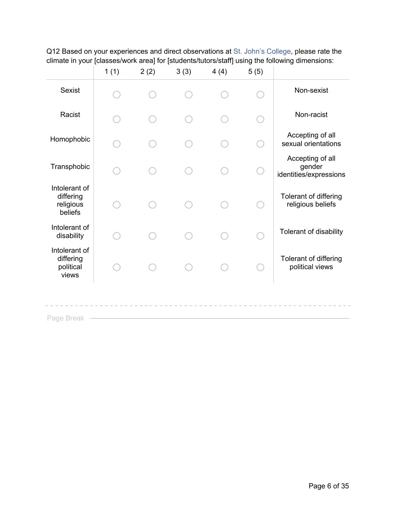|                                                    | 1(1) | 2(2) | 3(3) | 4(4) | 5(5) |                                                      |
|----------------------------------------------------|------|------|------|------|------|------------------------------------------------------|
| <b>Sexist</b>                                      |      |      |      |      |      | Non-sexist                                           |
| Racist                                             |      |      |      |      |      | Non-racist                                           |
| Homophobic                                         |      |      |      |      |      | Accepting of all<br>sexual orientations              |
| Transphobic                                        |      |      |      |      |      | Accepting of all<br>gender<br>identities/expressions |
| Intolerant of<br>differing<br>religious<br>beliefs |      |      |      |      |      | Tolerant of differing<br>religious beliefs           |
| Intolerant of<br>disability                        |      |      |      |      |      | Tolerant of disability                               |
| Intolerant of<br>differing<br>political<br>views   |      |      |      |      |      | Tolerant of differing<br>political views             |
| Page Break                                         |      |      |      |      |      |                                                      |

Q12 Based on your experiences and direct observations at St. John's College, please rate the climate in your [classes/work area] for [students/tutors/staff] using the following dimensions: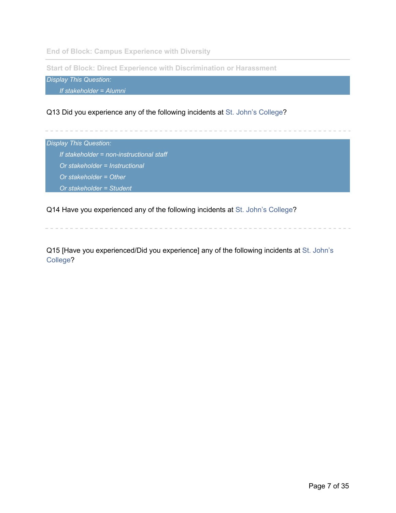**End of Block: Campus Experience with Diversity**

**Start of Block: Direct Experience with Discrimination or Harassment**

*Display This Question:*

*If stakeholder = Alumni*

Q13 Did you experience any of the following incidents at St. John's College?

*Display This Question:*

*If stakeholder = non-instructional staff*

*Or stakeholder = Instructional*

*Or stakeholder = Other*

*Or stakeholder = Student*

Q14 Have you experienced any of the following incidents at St. John's College?

Q15 [Have you experienced/Did you experience] any of the following incidents at St. John's College?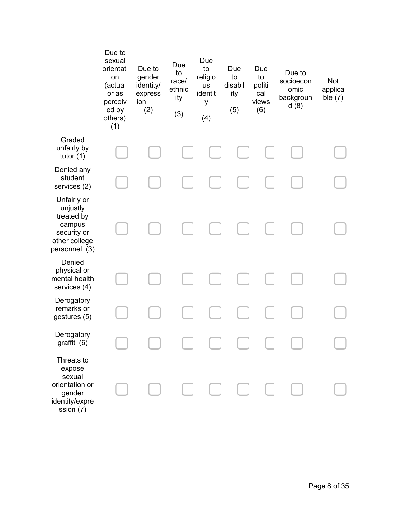|                                                                                                  | Due to<br>sexual<br>orientati<br>on<br>(actual<br>or as<br>perceiv<br>ed by<br>others)<br>(1) | Due to<br>gender<br>identity/<br>express<br>ion<br>(2) | Due<br>to<br>race/<br>ethnic<br>ity<br>(3) | Due<br>to<br>religio<br><b>us</b><br>identit<br>У<br>(4) | Due<br>to<br>disabil<br>ity<br>(5) | Due<br>to<br>politi<br>cal<br>views<br>(6) | Due to<br>socioecon<br>omic<br>backgroun<br>d(8) | <b>Not</b><br>applica<br>ble $(7)$ |
|--------------------------------------------------------------------------------------------------|-----------------------------------------------------------------------------------------------|--------------------------------------------------------|--------------------------------------------|----------------------------------------------------------|------------------------------------|--------------------------------------------|--------------------------------------------------|------------------------------------|
| Graded<br>unfairly by<br>tutor $(1)$                                                             |                                                                                               |                                                        |                                            |                                                          |                                    |                                            |                                                  |                                    |
| Denied any<br>student<br>services (2)                                                            |                                                                                               |                                                        |                                            |                                                          |                                    |                                            |                                                  |                                    |
| Unfairly or<br>unjustly<br>treated by<br>campus<br>security or<br>other college<br>personnel (3) |                                                                                               |                                                        |                                            | L                                                        |                                    |                                            |                                                  |                                    |
| Denied<br>physical or<br>mental health<br>services (4)                                           |                                                                                               |                                                        |                                            |                                                          |                                    |                                            |                                                  |                                    |
| Derogatory<br>remarks or<br>gestures (5)                                                         |                                                                                               |                                                        |                                            |                                                          |                                    |                                            |                                                  |                                    |
| Derogatory<br>graffiti (6)                                                                       |                                                                                               |                                                        |                                            |                                                          |                                    |                                            |                                                  |                                    |
| Threats to<br>expose<br>sexual<br>orientation or<br>gender<br>identity/expre<br>ssion (7)        |                                                                                               |                                                        |                                            |                                                          | CCOC                               |                                            |                                                  |                                    |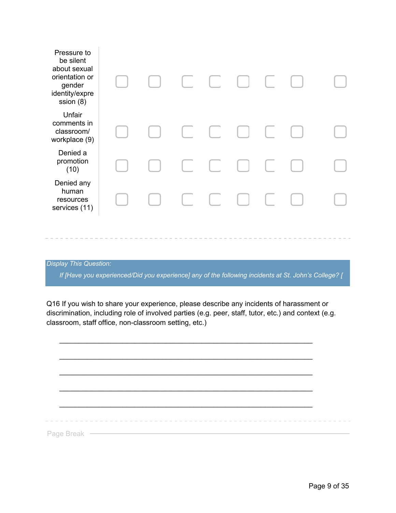| Pressure to<br>be silent<br>about sexual<br>orientation or<br>gender<br>identity/expre<br>ssion (8) |  |                             | $\begin{bmatrix} 1 & 1 \\ 1 & 1 \end{bmatrix}$                                                     |  |  |
|-----------------------------------------------------------------------------------------------------|--|-----------------------------|----------------------------------------------------------------------------------------------------|--|--|
| Unfair<br>comments in<br>classroom/<br>workplace (9)                                                |  |                             | $\begin{bmatrix} 1 & 1 \\ 1 & 1 \end{bmatrix}$                                                     |  |  |
| Denied a<br>promotion<br>(10)                                                                       |  | $\mathbb{C}^{\mathbb{Z}_2}$ | $\Box$                                                                                             |  |  |
| Denied any<br>human<br>resources<br>services (11)                                                   |  |                             | $\begin{array}{ccc} \begin{array}{ccc} \end{array} & \begin{array}{ccc} \end{array} & \end{array}$ |  |  |
|                                                                                                     |  |                             |                                                                                                    |  |  |

*If [Have you experienced/Did you experience] any of the following incidents at St. John's College? [* 

Q16 If you wish to share your experience, please describe any incidents of harassment or discrimination, including role of involved parties (e.g. peer, staff, tutor, etc.) and context (e.g. classroom, staff office, non-classroom setting, etc.)

|  | the company's company's | ------------------------- |  |  |
|--|-------------------------|---------------------------|--|--|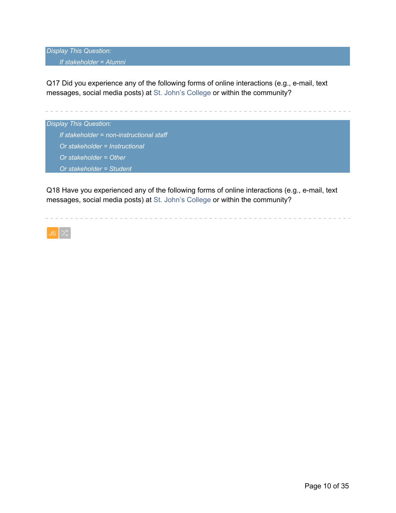#### *If stakeholder = Alumni*

Q17 Did you experience any of the following forms of online interactions (e.g., e-mail, text messages, social media posts) at St. John's College or within the community?



Q18 Have you experienced any of the following forms of online interactions (e.g., e-mail, text messages, social media posts) at St. John's College or within the community?

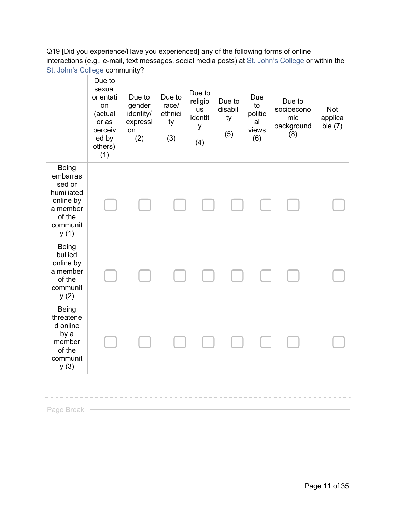Q19 [Did you experience/Have you experienced] any of the following forms of online interactions (e.g., e-mail, text messages, social media posts) at St. John's College or within the St. John's College community?



Page Break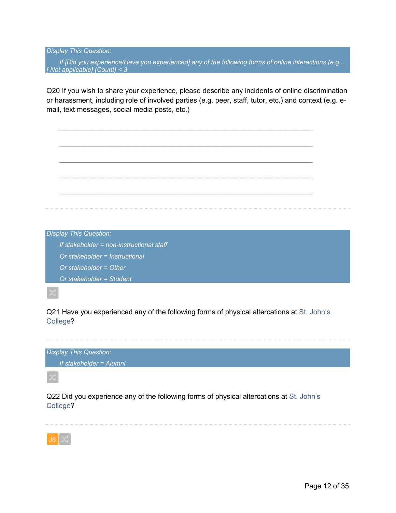*If [Did you experience/Have you experienced] any of the following forms of online interactions (e.g.... [ Not applicable] (Count) < 3*

Q20 If you wish to share your experience, please describe any incidents of online discrimination or harassment, including role of involved parties (e.g. peer, staff, tutor, etc.) and context (e.g. email, text messages, social media posts, etc.)

 $\mathcal{L}_\text{max} = \mathcal{L}_\text{max} = \mathcal{L}_\text{max} = \mathcal{L}_\text{max} = \mathcal{L}_\text{max} = \mathcal{L}_\text{max} = \mathcal{L}_\text{max} = \mathcal{L}_\text{max} = \mathcal{L}_\text{max} = \mathcal{L}_\text{max} = \mathcal{L}_\text{max} = \mathcal{L}_\text{max} = \mathcal{L}_\text{max} = \mathcal{L}_\text{max} = \mathcal{L}_\text{max} = \mathcal{L}_\text{max} = \mathcal{L}_\text{max} = \mathcal{L}_\text{max} = \mathcal{$ 



Q21 Have you experienced any of the following forms of physical altercations at St. John's College?

the contract of the contract of the

*Display This Question:*

*If stakeholder = Alumni*

Q22 Did you experience any of the following forms of physical altercations at St. John's College?

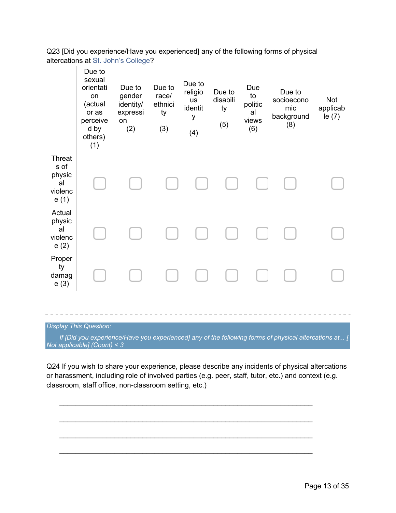Q23 [Did you experience/Have you experienced] any of the following forms of physical altercations at St. John's College?

|                                                          | Due to<br>sexual<br>orientati<br>on<br>(actual<br>or as<br>perceive<br>d by<br>others)<br>(1) | Due to<br>gender<br>identity/<br>expressi<br>on<br>(2) | Due to<br>race/<br>ethnici<br>ty<br>(3) | Due to<br>religio<br><b>us</b><br>identit<br>У<br>(4) | Due to<br>disabili<br>ty<br>(5) | Due<br>to<br>politic<br>al<br>views<br>(6) | Due to<br>socioecono<br>mic<br>background<br>(8) | Not<br>applicab<br>le $(7)$ |
|----------------------------------------------------------|-----------------------------------------------------------------------------------------------|--------------------------------------------------------|-----------------------------------------|-------------------------------------------------------|---------------------------------|--------------------------------------------|--------------------------------------------------|-----------------------------|
| <b>Threat</b><br>s of<br>physic<br>al<br>violenc<br>e(1) |                                                                                               |                                                        |                                         |                                                       |                                 |                                            |                                                  |                             |
| Actual<br>physic<br>al<br>violenc<br>e(2)                |                                                                                               |                                                        |                                         |                                                       |                                 |                                            |                                                  |                             |
| Proper<br>ty<br>damag<br>e(3)                            |                                                                                               |                                                        |                                         |                                                       |                                 |                                            |                                                  |                             |

#### *Display This Question:*

*If [Did you experience/Have you experienced] any of the following forms of physical altercations at... [ Not applicable] (Count) < 3*

Q24 If you wish to share your experience, please describe any incidents of physical altercations or harassment, including role of involved parties (e.g. peer, staff, tutor, etc.) and context (e.g. classroom, staff office, non-classroom setting, etc.)

 $\mathcal{L}_\text{max} = \mathcal{L}_\text{max} = \mathcal{L}_\text{max} = \mathcal{L}_\text{max} = \mathcal{L}_\text{max} = \mathcal{L}_\text{max} = \mathcal{L}_\text{max} = \mathcal{L}_\text{max} = \mathcal{L}_\text{max} = \mathcal{L}_\text{max} = \mathcal{L}_\text{max} = \mathcal{L}_\text{max} = \mathcal{L}_\text{max} = \mathcal{L}_\text{max} = \mathcal{L}_\text{max} = \mathcal{L}_\text{max} = \mathcal{L}_\text{max} = \mathcal{L}_\text{max} = \mathcal{$ 

 $\mathcal{L}_\text{max} = \mathcal{L}_\text{max} = \mathcal{L}_\text{max} = \mathcal{L}_\text{max} = \mathcal{L}_\text{max} = \mathcal{L}_\text{max} = \mathcal{L}_\text{max} = \mathcal{L}_\text{max} = \mathcal{L}_\text{max} = \mathcal{L}_\text{max} = \mathcal{L}_\text{max} = \mathcal{L}_\text{max} = \mathcal{L}_\text{max} = \mathcal{L}_\text{max} = \mathcal{L}_\text{max} = \mathcal{L}_\text{max} = \mathcal{L}_\text{max} = \mathcal{L}_\text{max} = \mathcal{$ 

 $\mathcal{L}_\text{max} = \mathcal{L}_\text{max} = \mathcal{L}_\text{max} = \mathcal{L}_\text{max} = \mathcal{L}_\text{max} = \mathcal{L}_\text{max} = \mathcal{L}_\text{max} = \mathcal{L}_\text{max} = \mathcal{L}_\text{max} = \mathcal{L}_\text{max} = \mathcal{L}_\text{max} = \mathcal{L}_\text{max} = \mathcal{L}_\text{max} = \mathcal{L}_\text{max} = \mathcal{L}_\text{max} = \mathcal{L}_\text{max} = \mathcal{L}_\text{max} = \mathcal{L}_\text{max} = \mathcal{$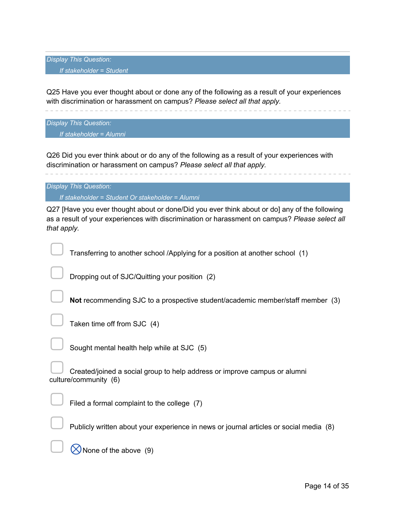*Display This Question: If stakeholder = Student*

Q25 Have you ever thought about or done any of the following as a result of your experiences with discrimination or harassment on campus? *Please select all that apply.*

*Display This Question:*

*If stakeholder = Alumni*

Q26 Did you ever think about or do any of the following as a result of your experiences with discrimination or harassment on campus? *Please select all that apply.*

*Display This Question:*

*If stakeholder = Student Or stakeholder = Alumni*

Q27 [Have you ever thought about or done/Did you ever think about or do] any of the following as a result of your experiences with discrimination or harassment on campus? *Please select all that apply.*

Transferring to another school /Applying for a position at another school (1)

▢ Dropping out of SJC/Quitting your position (2)

**Not** recommending SJC to a prospective student/academic member/staff member (3)

Taken time off from SJC (4)

▢ Sought mental health help while at SJC (5)

Created/joined a social group to help address or improve campus or alumni culture/community (6)



Filed a formal complaint to the college (7)

Publicly written about your experience in news or journal articles or social media (8)

 $\oslash$  None of the above (9)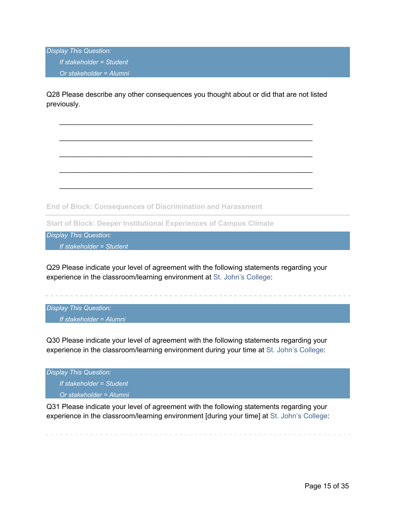*Display This Question: If stakeholder = Student Or stakeholder = Alumni*

Q28 Please describe any other consequences you thought about or did that are not listed previously.

 $\mathcal{L}_\text{max} = \mathcal{L}_\text{max} = \mathcal{L}_\text{max} = \mathcal{L}_\text{max} = \mathcal{L}_\text{max} = \mathcal{L}_\text{max} = \mathcal{L}_\text{max} = \mathcal{L}_\text{max} = \mathcal{L}_\text{max} = \mathcal{L}_\text{max} = \mathcal{L}_\text{max} = \mathcal{L}_\text{max} = \mathcal{L}_\text{max} = \mathcal{L}_\text{max} = \mathcal{L}_\text{max} = \mathcal{L}_\text{max} = \mathcal{L}_\text{max} = \mathcal{L}_\text{max} = \mathcal{$ 

 $\mathcal{L}_\text{max} = \mathcal{L}_\text{max} = \mathcal{L}_\text{max} = \mathcal{L}_\text{max} = \mathcal{L}_\text{max} = \mathcal{L}_\text{max} = \mathcal{L}_\text{max} = \mathcal{L}_\text{max} = \mathcal{L}_\text{max} = \mathcal{L}_\text{max} = \mathcal{L}_\text{max} = \mathcal{L}_\text{max} = \mathcal{L}_\text{max} = \mathcal{L}_\text{max} = \mathcal{L}_\text{max} = \mathcal{L}_\text{max} = \mathcal{L}_\text{max} = \mathcal{L}_\text{max} = \mathcal{$ 

 $\mathcal{L}_\text{max} = \mathcal{L}_\text{max} = \mathcal{L}_\text{max} = \mathcal{L}_\text{max} = \mathcal{L}_\text{max} = \mathcal{L}_\text{max} = \mathcal{L}_\text{max} = \mathcal{L}_\text{max} = \mathcal{L}_\text{max} = \mathcal{L}_\text{max} = \mathcal{L}_\text{max} = \mathcal{L}_\text{max} = \mathcal{L}_\text{max} = \mathcal{L}_\text{max} = \mathcal{L}_\text{max} = \mathcal{L}_\text{max} = \mathcal{L}_\text{max} = \mathcal{L}_\text{max} = \mathcal{$ 

 $\mathcal{L}_\text{max} = \mathcal{L}_\text{max} = \mathcal{L}_\text{max} = \mathcal{L}_\text{max} = \mathcal{L}_\text{max} = \mathcal{L}_\text{max} = \mathcal{L}_\text{max} = \mathcal{L}_\text{max} = \mathcal{L}_\text{max} = \mathcal{L}_\text{max} = \mathcal{L}_\text{max} = \mathcal{L}_\text{max} = \mathcal{L}_\text{max} = \mathcal{L}_\text{max} = \mathcal{L}_\text{max} = \mathcal{L}_\text{max} = \mathcal{L}_\text{max} = \mathcal{L}_\text{max} = \mathcal{$ 

**End of Block: Consequences of Discrimination and Harassment**

**Start of Block: Deeper Institutional Experiences of Campus Climate**

*Display This Question: If stakeholder = Student*

Q29 Please indicate your level of agreement with the following statements regarding your experience in the classroom/learning environment at St. John's College:

*Display This Question: If stakeholder = Alumni*

Q30 Please indicate your level of agreement with the following statements regarding your experience in the classroom/learning environment during your time at St. John's College:

*Display This Question: If stakeholder = Student Or stakeholder = Alumni*

Q31 Please indicate your level of agreement with the following statements regarding your experience in the classroom/learning environment [during your time] at St. John's College: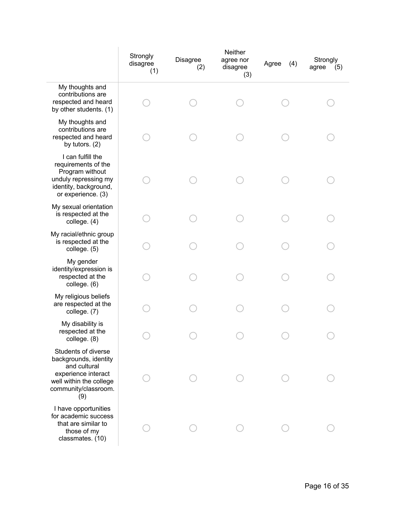|                                                                                                                                               | Strongly<br>disagree<br>(1) | <b>Disagree</b><br>(2) | Neither<br>agree nor<br>disagree<br>(3) | Agree<br>(4) | Strongly<br>agree<br>(5) |
|-----------------------------------------------------------------------------------------------------------------------------------------------|-----------------------------|------------------------|-----------------------------------------|--------------|--------------------------|
| My thoughts and<br>contributions are<br>respected and heard<br>by other students. (1)                                                         |                             |                        |                                         |              |                          |
| My thoughts and<br>contributions are<br>respected and heard<br>by tutors. $(2)$                                                               |                             |                        |                                         |              |                          |
| I can fulfill the<br>requirements of the<br>Program without<br>unduly repressing my<br>identity, background,<br>or experience. (3)            |                             |                        |                                         |              |                          |
| My sexual orientation<br>is respected at the<br>college. (4)                                                                                  |                             |                        |                                         |              |                          |
| My racial/ethnic group<br>is respected at the<br>college. (5)                                                                                 |                             |                        |                                         |              |                          |
| My gender<br>identity/expression is<br>respected at the<br>college. (6)                                                                       |                             |                        |                                         |              |                          |
| My religious beliefs<br>are respected at the<br>college. (7)                                                                                  |                             |                        |                                         |              |                          |
| My disability is<br>respected at the<br>college. (8)                                                                                          |                             |                        |                                         |              |                          |
| Students of diverse<br>backgrounds, identity<br>and cultural<br>experience interact<br>well within the college<br>community/classroom.<br>(9) |                             |                        |                                         |              |                          |
| I have opportunities<br>for academic success<br>that are similar to<br>those of my<br>classmates. (10)                                        |                             |                        |                                         |              |                          |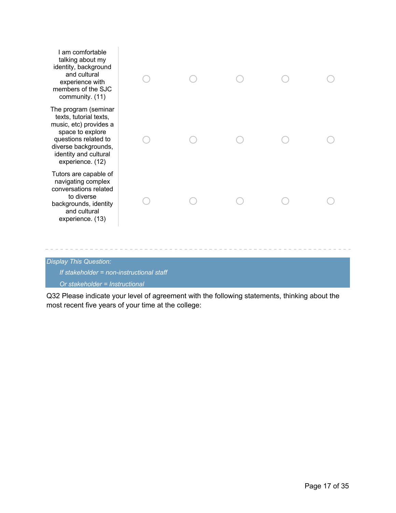| I am comfortable<br>talking about my<br>identity, background<br>and cultural<br>experience with<br>members of the SJC<br>community. (11)                                                  |  |  |  |
|-------------------------------------------------------------------------------------------------------------------------------------------------------------------------------------------|--|--|--|
| The program (seminar<br>texts, tutorial texts,<br>music, etc) provides a<br>space to explore<br>questions related to<br>diverse backgrounds,<br>identity and cultural<br>experience. (12) |  |  |  |
| Tutors are capable of<br>navigating complex<br>conversations related<br>to diverse<br>backgrounds, identity<br>and cultural<br>experience. (13)                                           |  |  |  |
|                                                                                                                                                                                           |  |  |  |

*If stakeholder = non-instructional staff*

*Or stakeholder = Instructional*

Q32 Please indicate your level of agreement with the following statements, thinking about the most recent five years of your time at the college: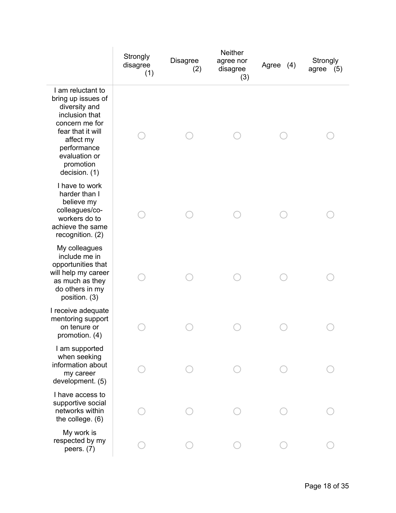|                                                                                                                                                                                              | Strongly<br>disagree<br>(1) | <b>Disagree</b><br>(2) | <b>Neither</b><br>agree nor<br>disagree<br>(3) | Agree (4) | Strongly<br>agree $(5)$ |
|----------------------------------------------------------------------------------------------------------------------------------------------------------------------------------------------|-----------------------------|------------------------|------------------------------------------------|-----------|-------------------------|
| I am reluctant to<br>bring up issues of<br>diversity and<br>inclusion that<br>concern me for<br>fear that it will<br>affect my<br>performance<br>evaluation or<br>promotion<br>decision. (1) |                             |                        |                                                |           |                         |
| I have to work<br>harder than I<br>believe my<br>colleagues/co-<br>workers do to<br>achieve the same<br>recognition. (2)                                                                     |                             |                        |                                                |           |                         |
| My colleagues<br>include me in<br>opportunities that<br>will help my career<br>as much as they<br>do others in my<br>position. (3)                                                           |                             |                        |                                                |           |                         |
| I receive adequate<br>mentoring support<br>on tenure or<br>promotion. (4)                                                                                                                    |                             |                        |                                                |           |                         |
| I am supported<br>when seeking<br>information about<br>my career<br>development. (5)                                                                                                         |                             |                        |                                                |           |                         |
| I have access to<br>supportive social<br>networks within<br>the college. (6)                                                                                                                 |                             |                        |                                                |           |                         |
| My work is<br>respected by my<br>peers. $(7)$                                                                                                                                                |                             |                        |                                                |           |                         |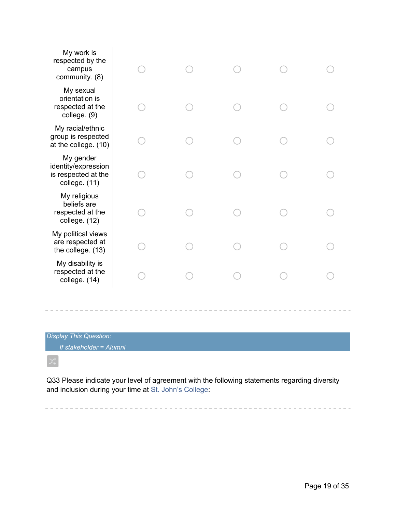| My work is<br>respected by the<br>campus<br>community. (8)               |  |  |  |
|--------------------------------------------------------------------------|--|--|--|
| My sexual<br>orientation is<br>respected at the<br>college. (9)          |  |  |  |
| My racial/ethnic<br>group is respected<br>at the college. (10)           |  |  |  |
| My gender<br>identity/expression<br>is respected at the<br>college. (11) |  |  |  |
| My religious<br>beliefs are<br>respected at the<br>college. (12)         |  |  |  |
| My political views<br>are respected at<br>the college. (13)              |  |  |  |
| My disability is<br>respected at the<br>college. (14)                    |  |  |  |
|                                                                          |  |  |  |

*If stakeholder = Alumni*

 $\propto$ 

Q33 Please indicate your level of agreement with the following statements regarding diversity and inclusion during your time at St. John's College:

and the state of the state of the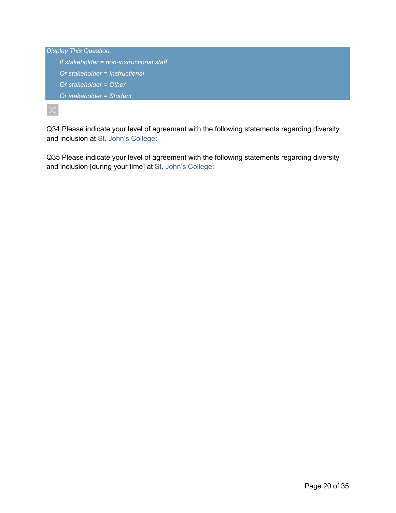| <b>Display This Question:</b>            |
|------------------------------------------|
| If stakeholder = non-instructional staff |
| Or stakeholder = Instructional           |
| Or stakeholder $=$ Other                 |
| Or stakeholder = Student                 |
|                                          |

Q34 Please indicate your level of agreement with the following statements regarding diversity and inclusion at St. John's College:

Q35 Please indicate your level of agreement with the following statements regarding diversity and inclusion [during your time] at St. John's College: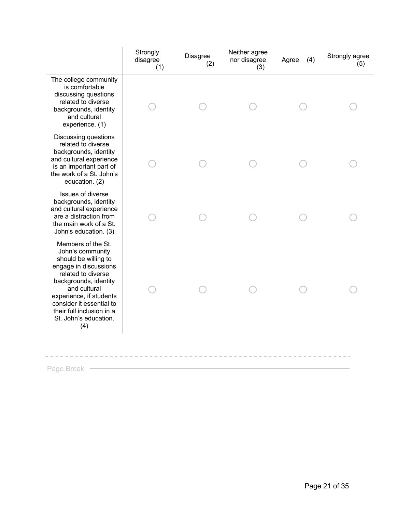| The college community<br>is comfortable<br>discussing questions<br>related to diverse<br>backgrounds, identity<br>and cultural<br>experience. (1)<br><b>Discussing questions</b><br>related to diverse<br>backgrounds, identity<br>and cultural experience<br>is an important part of<br>the work of a St. John's<br>education. (2)<br>Issues of diverse<br>backgrounds, identity<br>and cultural experience<br>are a distraction from<br>the main work of a St.<br>John's education. (3)<br>Members of the St.<br>John's community<br>should be willing to<br>engage in discussions<br>related to diverse<br>backgrounds, identity<br>and cultural<br>experience, if students |                          | Strongly<br>disagree<br>(1) | Disagree<br>(2) | Neither agree<br>nor disagree<br>(3) | (4)<br>Agree | Strongly agree<br>(5) |
|--------------------------------------------------------------------------------------------------------------------------------------------------------------------------------------------------------------------------------------------------------------------------------------------------------------------------------------------------------------------------------------------------------------------------------------------------------------------------------------------------------------------------------------------------------------------------------------------------------------------------------------------------------------------------------|--------------------------|-----------------------------|-----------------|--------------------------------------|--------------|-----------------------|
|                                                                                                                                                                                                                                                                                                                                                                                                                                                                                                                                                                                                                                                                                |                          |                             |                 |                                      |              |                       |
|                                                                                                                                                                                                                                                                                                                                                                                                                                                                                                                                                                                                                                                                                |                          |                             |                 |                                      |              |                       |
|                                                                                                                                                                                                                                                                                                                                                                                                                                                                                                                                                                                                                                                                                |                          |                             |                 |                                      |              |                       |
| their full inclusion in a<br>St. John's education.<br>(4)                                                                                                                                                                                                                                                                                                                                                                                                                                                                                                                                                                                                                      | consider it essential to |                             |                 |                                      |              |                       |

Page Break —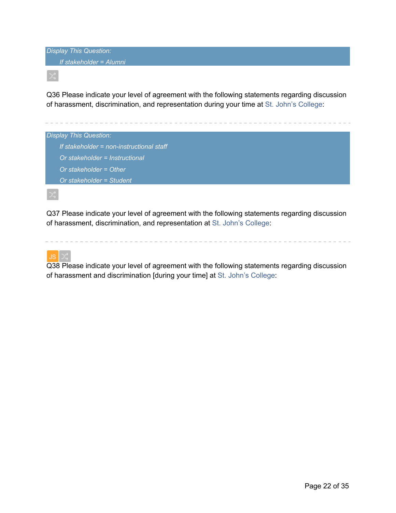*Display This Question: If stakeholder = Alumni*

Q36 Please indicate your level of agreement with the following statements regarding discussion of harassment, discrimination, and representation during your time at St. John's College:



Q37 Please indicate your level of agreement with the following statements regarding discussion of harassment, discrimination, and representation at St. John's College:



Q38 Please indicate your level of agreement with the following statements regarding discussion of harassment and discrimination [during your time] at St. John's College: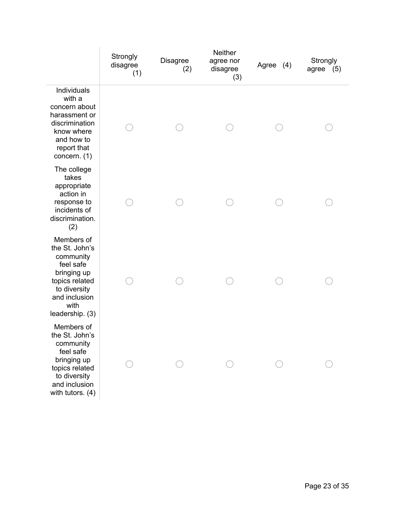|                                                                                                                                                     | Strongly<br>disagree<br>(1) | <b>Disagree</b><br>(2) | <b>Neither</b><br>agree nor<br>disagree<br>(3) | Agree (4) | Strongly<br>agree $(5)$ |
|-----------------------------------------------------------------------------------------------------------------------------------------------------|-----------------------------|------------------------|------------------------------------------------|-----------|-------------------------|
| Individuals<br>with a<br>concern about<br>harassment or<br>discrimination<br>know where<br>and how to<br>report that<br>concern. (1)                |                             |                        |                                                |           |                         |
| The college<br>takes<br>appropriate<br>action in<br>response to<br>incidents of<br>discrimination.<br>(2)                                           |                             |                        |                                                |           |                         |
| Members of<br>the St. John's<br>community<br>feel safe<br>bringing up<br>topics related<br>to diversity<br>and inclusion<br>with<br>leadership. (3) |                             |                        |                                                |           |                         |
| Members of<br>the St. John's<br>community<br>feel safe<br>bringing up<br>topics related<br>to diversity<br>and inclusion<br>with tutors. $(4)$      |                             |                        |                                                |           |                         |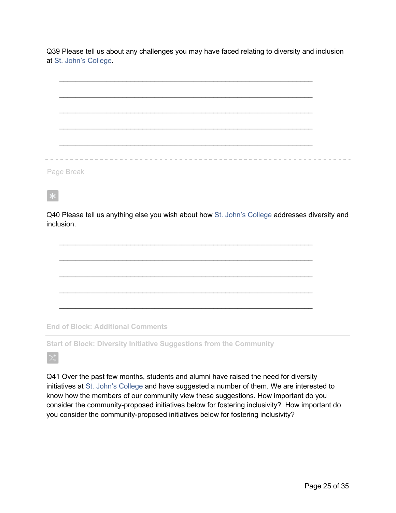Q39 Please tell us about any challenges you may have faced relating to diversity and inclusion at St. John's College.

Q40 Please tell us anything else you wish about how St. John's College addresses diversity and inclusion.

 $\mathcal{L}_\text{max}$  , and the contribution of the contribution of the contribution of the contribution of the contribution of the contribution of the contribution of the contribution of the contribution of the contribution of t

 $\mathcal{L}_\text{max} = \mathcal{L}_\text{max} = \mathcal{L}_\text{max} = \mathcal{L}_\text{max} = \mathcal{L}_\text{max} = \mathcal{L}_\text{max} = \mathcal{L}_\text{max} = \mathcal{L}_\text{max} = \mathcal{L}_\text{max} = \mathcal{L}_\text{max} = \mathcal{L}_\text{max} = \mathcal{L}_\text{max} = \mathcal{L}_\text{max} = \mathcal{L}_\text{max} = \mathcal{L}_\text{max} = \mathcal{L}_\text{max} = \mathcal{L}_\text{max} = \mathcal{L}_\text{max} = \mathcal{$ 

 $\mathcal{L}_\text{max} = \mathcal{L}_\text{max} = \mathcal{L}_\text{max} = \mathcal{L}_\text{max} = \mathcal{L}_\text{max} = \mathcal{L}_\text{max} = \mathcal{L}_\text{max} = \mathcal{L}_\text{max} = \mathcal{L}_\text{max} = \mathcal{L}_\text{max} = \mathcal{L}_\text{max} = \mathcal{L}_\text{max} = \mathcal{L}_\text{max} = \mathcal{L}_\text{max} = \mathcal{L}_\text{max} = \mathcal{L}_\text{max} = \mathcal{L}_\text{max} = \mathcal{L}_\text{max} = \mathcal{$ 

 $\mathcal{L}_\text{max} = \mathcal{L}_\text{max} = \mathcal{L}_\text{max} = \mathcal{L}_\text{max} = \mathcal{L}_\text{max} = \mathcal{L}_\text{max} = \mathcal{L}_\text{max} = \mathcal{L}_\text{max} = \mathcal{L}_\text{max} = \mathcal{L}_\text{max} = \mathcal{L}_\text{max} = \mathcal{L}_\text{max} = \mathcal{L}_\text{max} = \mathcal{L}_\text{max} = \mathcal{L}_\text{max} = \mathcal{L}_\text{max} = \mathcal{L}_\text{max} = \mathcal{L}_\text{max} = \mathcal{$ 

 $\mathcal{L}_\text{max} = \mathcal{L}_\text{max} = \mathcal{L}_\text{max} = \mathcal{L}_\text{max} = \mathcal{L}_\text{max} = \mathcal{L}_\text{max} = \mathcal{L}_\text{max} = \mathcal{L}_\text{max} = \mathcal{L}_\text{max} = \mathcal{L}_\text{max} = \mathcal{L}_\text{max} = \mathcal{L}_\text{max} = \mathcal{L}_\text{max} = \mathcal{L}_\text{max} = \mathcal{L}_\text{max} = \mathcal{L}_\text{max} = \mathcal{L}_\text{max} = \mathcal{L}_\text{max} = \mathcal{$ 

**End of Block: Additional Comments**

**Start of Block: Diversity Initiative Suggestions from the Community**

 $\ast$ 

Q41 Over the past few months, students and alumni have raised the need for diversity initiatives at St. John's College and have suggested a number of them. We are interested to know how the members of our community view these suggestions. How important do you consider the community-proposed initiatives below for fostering inclusivity? How important do you consider the community-proposed initiatives below for fostering inclusivity?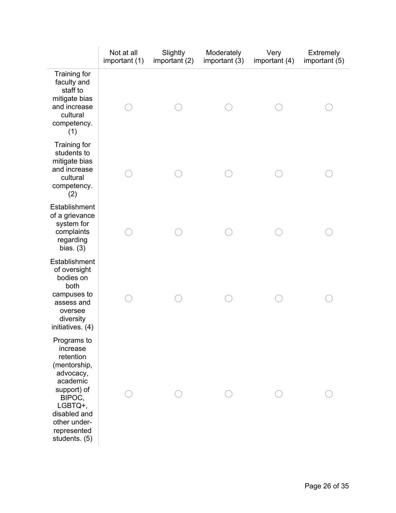|                                                                                                                                                                                   | Not at all<br>important (1) | Slightly<br>important (2) | Moderately<br>important (3) | Very<br>important (4) | Extremely<br>important (5) |
|-----------------------------------------------------------------------------------------------------------------------------------------------------------------------------------|-----------------------------|---------------------------|-----------------------------|-----------------------|----------------------------|
| Training for<br>faculty and<br>staff to<br>mitigate bias<br>and increase<br>cultural<br>competency.<br>(1)                                                                        |                             |                           |                             |                       |                            |
| Training for<br>students to<br>mitigate bias<br>and increase<br>cultural<br>competency.<br>(2)                                                                                    |                             |                           |                             |                       |                            |
| Establishment<br>of a grievance<br>system for<br>complaints<br>regarding<br>bias. $(3)$                                                                                           |                             |                           |                             |                       |                            |
| Establishment<br>of oversight<br>bodies on<br>both<br>campuses to<br>assess and<br>oversee<br>diversity<br>initiatives. (4)                                                       |                             |                           |                             |                       |                            |
| Programs to<br>increase<br>retention<br>(mentorship,<br>advocacy,<br>academic<br>support) of<br>BIPOC,<br>LGBTQ+,<br>disabled and<br>other under-<br>represented<br>students. (5) |                             |                           |                             |                       |                            |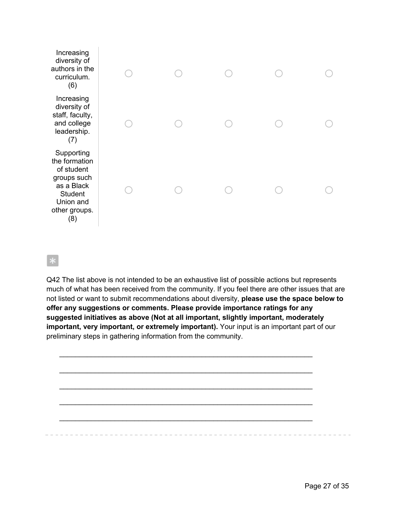| Increasing<br>diversity of<br>authors in the<br>curriculum.<br>(6)                                                            |  |  |  |
|-------------------------------------------------------------------------------------------------------------------------------|--|--|--|
| Increasing<br>diversity of<br>staff, faculty,<br>and college<br>leadership.<br>(7)                                            |  |  |  |
| Supporting<br>the formation<br>of student<br>groups such<br>as a Black<br><b>Student</b><br>Union and<br>other groups.<br>(8) |  |  |  |

# $\mathbf{k}$

Q42 The list above is not intended to be an exhaustive list of possible actions but represents much of what has been received from the community. If you feel there are other issues that are not listed or want to submit recommendations about diversity, **please use the space below to offer any suggestions or comments. Please provide importance ratings for any suggested initiatives as above (Not at all important, slightly important, moderately important, very important, or extremely important).** Your input is an important part of our preliminary steps in gathering information from the community.

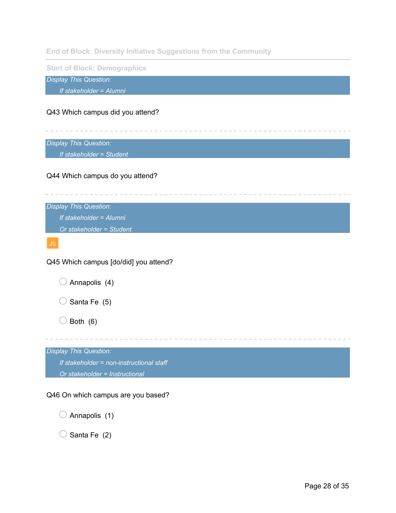**End of Block: Diversity Initiative Suggestions from the Community**

**Start of Block: Demographics**

*Display This Question:*

*If stakeholder = Alumni*

# Q43 Which campus did you attend?

*Display This Question:*

*If stakeholder = Student*

## Q44 Which campus do you attend?

*Display This Question: If stakeholder = Alumni Or stakeholder = Student*

Q45 Which campus [do/did] you attend?

 $\bigcirc$  Santa Fe (5)

 $\bigcirc$  Both (6)

*Display This Question: If stakeholder = non-instructional staff Or stakeholder = Instructional*

## Q46 On which campus are you based?

 $\bigcirc$  Annapolis (1)

 $\bigcirc$  Santa Fe (2)

the contract of the contract of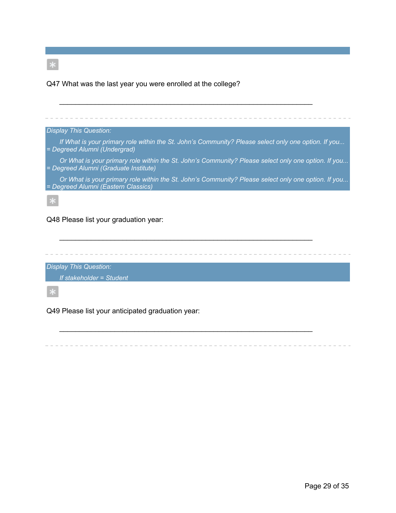Q47 What was the last year you were enrolled at the college?



 $\mathcal{L}_\text{max} = \mathcal{L}_\text{max} = \mathcal{L}_\text{max} = \mathcal{L}_\text{max} = \mathcal{L}_\text{max} = \mathcal{L}_\text{max} = \mathcal{L}_\text{max} = \mathcal{L}_\text{max} = \mathcal{L}_\text{max} = \mathcal{L}_\text{max} = \mathcal{L}_\text{max} = \mathcal{L}_\text{max} = \mathcal{L}_\text{max} = \mathcal{L}_\text{max} = \mathcal{L}_\text{max} = \mathcal{L}_\text{max} = \mathcal{L}_\text{max} = \mathcal{L}_\text{max} = \mathcal{$ 

*Display This Question:*

*If stakeholder = Student*

Q49 Please list your anticipated graduation year: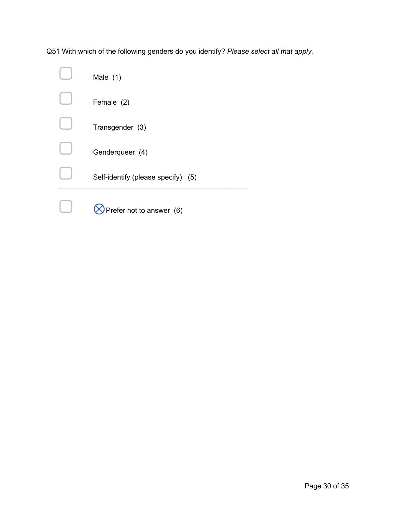Q51 With which of the following genders do you identify? *Please select all that apply.*

| Male $(1)$                          |
|-------------------------------------|
| Female (2)                          |
| Transgender (3)                     |
| Genderqueer (4)                     |
| Self-identify (please specify): (5) |
| Prefer not to answer (6)            |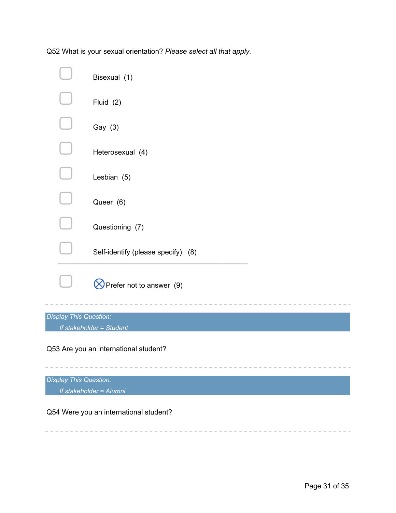Q52 What is your sexual orientation? *Please select all that apply.*

|                        | Bisexual (1)                        |
|------------------------|-------------------------------------|
|                        | Fluid (2)                           |
|                        | Gay (3)                             |
|                        | Heterosexual (4)                    |
|                        | Lesbian (5)                         |
|                        | Queer (6)                           |
|                        | Questioning (7)                     |
|                        | Self-identify (please specify): (8) |
|                        | Prefer not to answer $(9)$          |
| Display This Question: |                                     |
|                        | If stakeholder = Student            |
|                        |                                     |

Q53 Are you an international student?

*Display This Question: If stakeholder = Alumni*

÷.

Q54 Were you an international student?

-------------------------

 $\mathcal{L}_{\mathcal{A}}(x) = \mathcal{L}_{\mathcal{A}}(x) + \mathcal{L}_{\mathcal{A}}(x)$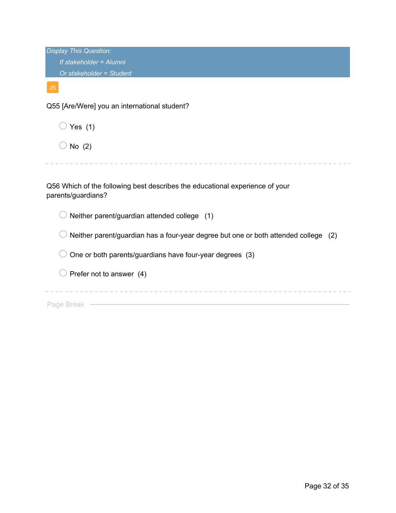| <b>Display This Question:</b>                                                                      |
|----------------------------------------------------------------------------------------------------|
| If stakeholder = Alumni                                                                            |
| Or stakeholder = Student                                                                           |
| JS.                                                                                                |
| Q55 [Are/Were] you an international student?                                                       |
| Yes $(1)$                                                                                          |
| No $(2)$                                                                                           |
|                                                                                                    |
| Q56 Which of the following best describes the educational experience of your<br>parents/guardians? |
| Neither parent/guardian attended college (1)                                                       |
| Neither parent/guardian has a four-year degree but one or both attended college<br>(2)             |
| One or both parents/guardians have four-year degrees (3)                                           |
| Prefer not to answer (4)                                                                           |
|                                                                                                    |
| Page Break                                                                                         |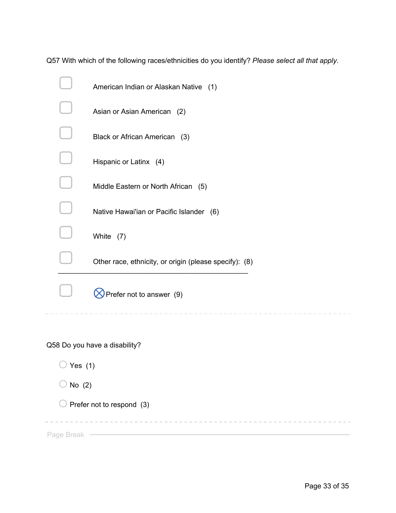Q57 With which of the following races/ethnicities do you identify? *Please select all that apply.*

| American Indian or Alaskan Native (1)                  |
|--------------------------------------------------------|
| Asian or Asian American (2)                            |
| Black or African American (3)                          |
| Hispanic or Latinx (4)                                 |
| Middle Eastern or North African (5)                    |
| Native Hawai'ian or Pacific Islander (6)               |
| White (7)                                              |
| Other race, ethnicity, or origin (please specify): (8) |
| Prefer not to answer (9)                               |
|                                                        |

Q58 Do you have a disability?

 $\bigcirc$  Yes (1)

 $\bigcirc$  No (2)

 $\bigcirc$  Prefer not to respond (3)

Page Break – Entertainment of the Break of the Break of the Break of the Break of the Break of the Break of the Break of the Break of the Break of the Break of the Break of the Break of the Break of the Break of the Break

 $\sim$   $-$ 

 $\cdots \cdots \cdots \cdots \cdots \cdots \cdots \cdots \cdots \cdots$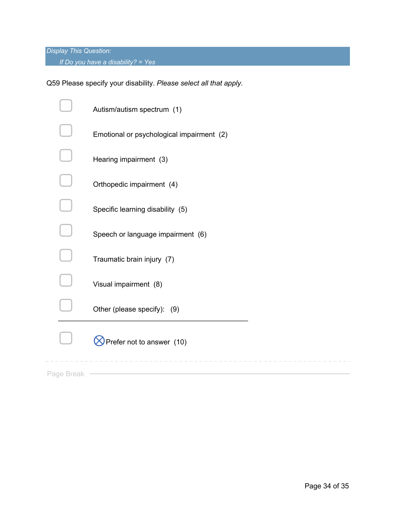*If Do you have a disability? = Yes*

Q59 Please specify your disability. *Please select all that apply.*

|            | Autism/autism spectrum (1)                |
|------------|-------------------------------------------|
|            | Emotional or psychological impairment (2) |
|            | Hearing impairment (3)                    |
|            | Orthopedic impairment (4)                 |
|            | Specific learning disability (5)          |
|            | Speech or language impairment (6)         |
|            | Traumatic brain injury (7)                |
|            | Visual impairment (8)                     |
|            | Other (please specify): (9)               |
|            | Prefer not to answer (10)                 |
| Page Break |                                           |